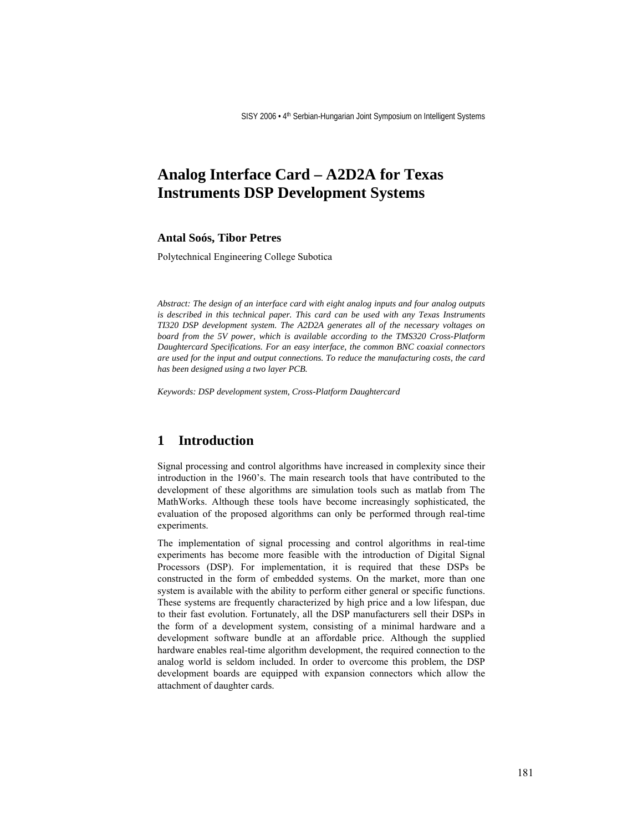# **Analog Interface Card – A2D2A for Texas Instruments DSP Development Systems**

#### **Antal Soós, Tibor Petres**

Polytechnical Engineering College Subotica

*Abstract: The design of an interface card with eight analog inputs and four analog outputs is described in this technical paper. This card can be used with any Texas Instruments TI320 DSP development system. The A2D2A generates all of the necessary voltages on board from the 5V power, which is available according to the TMS320 Cross-Platform Daughtercard Specifications. For an easy interface, the common BNC coaxial connectors are used for the input and output connections. To reduce the manufacturing costs, the card has been designed using a two layer PCB.* 

*Keywords: DSP development system, Cross-Platform Daughtercard* 

#### **1 Introduction**

Signal processing and control algorithms have increased in complexity since their introduction in the 1960's. The main research tools that have contributed to the development of these algorithms are simulation tools such as matlab from The MathWorks. Although these tools have become increasingly sophisticated, the evaluation of the proposed algorithms can only be performed through real-time experiments.

The implementation of signal processing and control algorithms in real-time experiments has become more feasible with the introduction of Digital Signal Processors (DSP). For implementation, it is required that these DSPs be constructed in the form of embedded systems. On the market, more than one system is available with the ability to perform either general or specific functions. These systems are frequently characterized by high price and a low lifespan, due to their fast evolution. Fortunately, all the DSP manufacturers sell their DSPs in the form of a development system, consisting of a minimal hardware and a development software bundle at an affordable price. Although the supplied hardware enables real-time algorithm development, the required connection to the analog world is seldom included. In order to overcome this problem, the DSP development boards are equipped with expansion connectors which allow the attachment of daughter cards.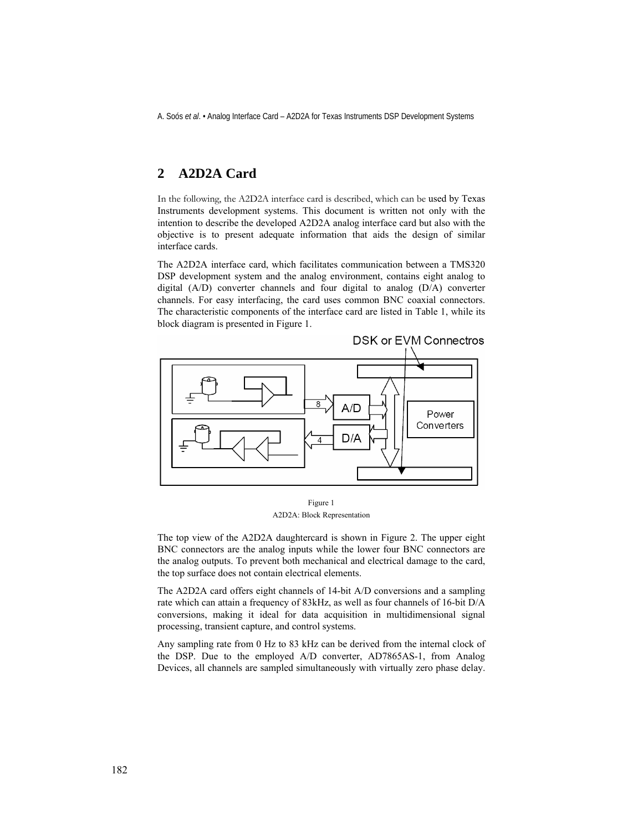A. Soós *et al*. • Analog Interface Card – A2D2A for Texas Instruments DSP Development Systems

## **2 A2D2A Card**

In the following, the A2D2A interface card is described, which can be used by Texas Instruments development systems. This document is written not only with the intention to describe the developed A2D2A analog interface card but also with the objective is to present adequate information that aids the design of similar interface cards.

The A2D2A interface card, which facilitates communication between a TMS320 DSP development system and the analog environment, contains eight analog to digital (A/D) converter channels and four digital to analog (D/A) converter channels. For easy interfacing, the card uses common BNC coaxial connectors. The characteristic components of the interface card are listed in Table 1, while its block diagram is presented in Figure 1.



Figure 1 A2D2A: Block Representation

The top view of the A2D2A daughtercard is shown in Figure 2. The upper eight BNC connectors are the analog inputs while the lower four BNC connectors are the analog outputs. To prevent both mechanical and electrical damage to the card, the top surface does not contain electrical elements.

The A2D2A card offers eight channels of 14-bit A/D conversions and a sampling rate which can attain a frequency of 83kHz, as well as four channels of 16-bit D/A conversions, making it ideal for data acquisition in multidimensional signal processing, transient capture, and control systems.

Any sampling rate from 0 Hz to 83 kHz can be derived from the internal clock of the DSP. Due to the employed A/D converter, AD7865AS-1, from Analog Devices, all channels are sampled simultaneously with virtually zero phase delay.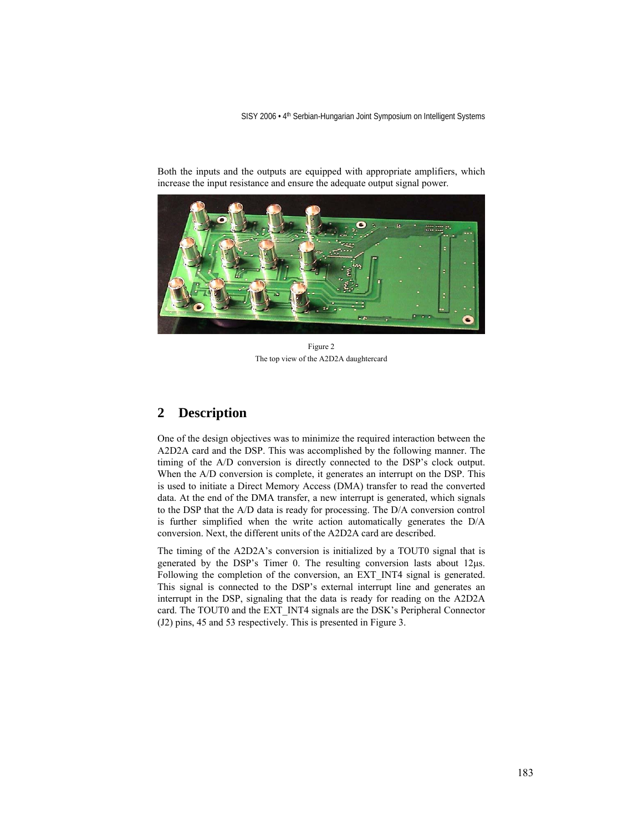SISY 2006 · 4<sup>th</sup> Serbian-Hungarian Joint Symposium on Intelligent Systems



Both the inputs and the outputs are equipped with appropriate amplifiers, which increase the input resistance and ensure the adequate output signal power.

Figure 2 The top view of the A2D2A daughtercard

### **2 Description**

One of the design objectives was to minimize the required interaction between the A2D2A card and the DSP. This was accomplished by the following manner. The timing of the A/D conversion is directly connected to the DSP's clock output. When the A/D conversion is complete, it generates an interrupt on the DSP. This is used to initiate a Direct Memory Access (DMA) transfer to read the converted data. At the end of the DMA transfer, a new interrupt is generated, which signals to the DSP that the A/D data is ready for processing. The D/A conversion control is further simplified when the write action automatically generates the D/A conversion. Next, the different units of the A2D2A card are described.

The timing of the A2D2A's conversion is initialized by a TOUT0 signal that is generated by the DSP's Timer 0. The resulting conversion lasts about 12μs. Following the completion of the conversion, an EXT\_INT4 signal is generated. This signal is connected to the DSP's external interrupt line and generates an interrupt in the DSP, signaling that the data is ready for reading on the A2D2A card. The TOUT0 and the EXT\_INT4 signals are the DSK's Peripheral Connector (J2) pins, 45 and 53 respectively. This is presented in Figure 3.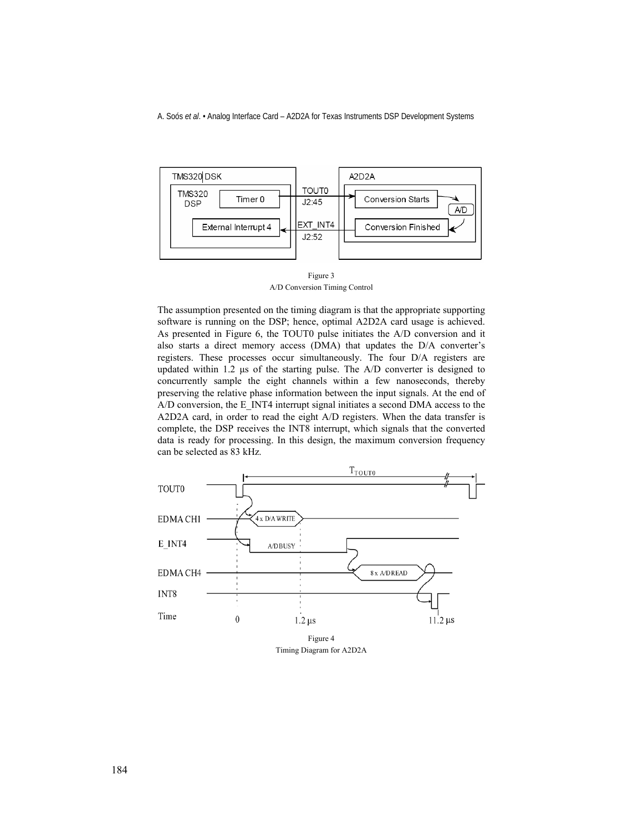A. Soós *et al*. • Analog Interface Card – A2D2A for Texas Instruments DSP Development Systems



Figure 3 A/D Conversion Timing Control

The assumption presented on the timing diagram is that the appropriate supporting software is running on the DSP; hence, optimal A2D2A card usage is achieved. As presented in Figure 6, the TOUT0 pulse initiates the A/D conversion and it also starts a direct memory access (DMA) that updates the D/A converter's registers. These processes occur simultaneously. The four D/A registers are updated within 1.2 μs of the starting pulse. The A/D converter is designed to concurrently sample the eight channels within a few nanoseconds, thereby preserving the relative phase information between the input signals. At the end of A/D conversion, the E\_INT4 interrupt signal initiates a second DMA access to the A2D2A card, in order to read the eight A/D registers. When the data transfer is complete, the DSP receives the INT8 interrupt, which signals that the converted data is ready for processing. In this design, the maximum conversion frequency can be selected as 83 kHz.



Timing Diagram for A2D2A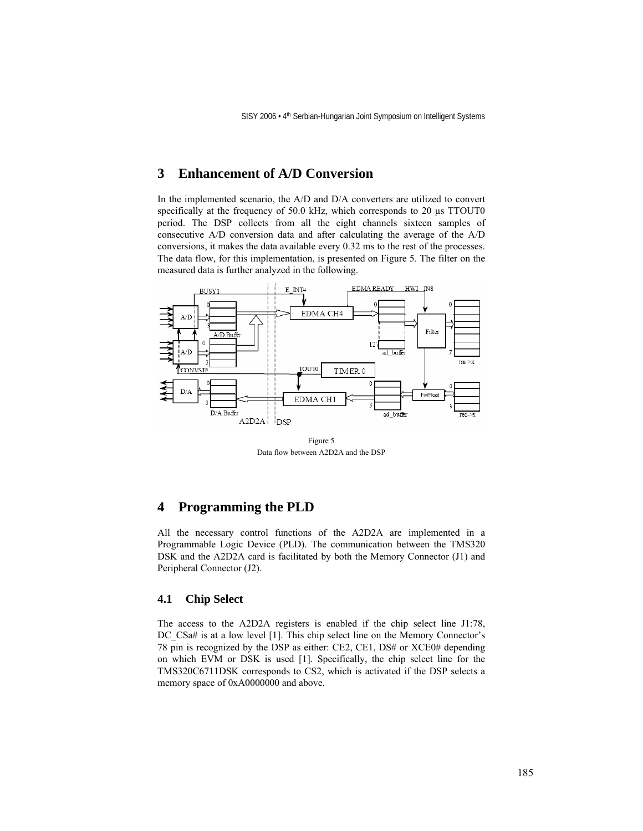### **3 Enhancement of A/D Conversion**

In the implemented scenario, the A/D and D/A converters are utilized to convert specifically at the frequency of 50.0 kHz, which corresponds to 20 μs TTOUT0 period. The DSP collects from all the eight channels sixteen samples of consecutive A/D conversion data and after calculating the average of the A/D conversions, it makes the data available every 0.32 ms to the rest of the processes. The data flow, for this implementation, is presented on Figure 5. The filter on the measured data is further analyzed in the following.



Figure 5 Data flow between A2D2A and the DSP

### **4 Programming the PLD**

All the necessary control functions of the A2D2A are implemented in a Programmable Logic Device (PLD). The communication between the TMS320 DSK and the A2D2A card is facilitated by both the Memory Connector (J1) and Peripheral Connector (J2).

#### **4.1 Chip Select**

The access to the A2D2A registers is enabled if the chip select line J1:78, DC\_CSa# is at a low level [1]. This chip select line on the Memory Connector's 78 pin is recognized by the DSP as either: CE2, CE1, DS# or XCE0# depending on which EVM or DSK is used [1]. Specifically, the chip select line for the TMS320C6711DSK corresponds to CS2, which is activated if the DSP selects a memory space of 0xA0000000 and above.